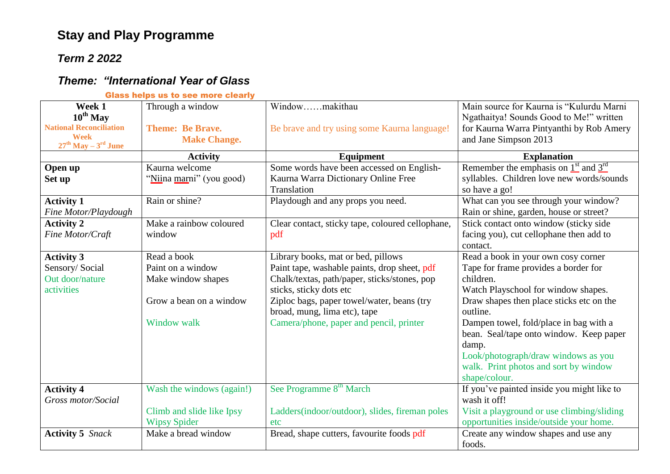## **Stay and Play Programme**

## *Term 2 2022*

## *Theme: "International Year of Glass*

|  |  | <b>Glass helps us to see more clearly</b> |
|--|--|-------------------------------------------|
|  |  |                                           |

| Week 1                                 | Through a window          | Windowmakithau                                   | Main source for Kaurna is "Kulurdu Marni   |
|----------------------------------------|---------------------------|--------------------------------------------------|--------------------------------------------|
| $10^{th}$ May                          |                           |                                                  | Ngathaitya! Sounds Good to Me!" written    |
| <b>National Reconciliation</b>         | <b>Theme: Be Brave.</b>   | Be brave and try using some Kaurna language!     | for Kaurna Warra Pintyanthi by Rob Amery   |
| <b>Week</b><br>$27th$ May – $3rd$ June | <b>Make Change.</b>       |                                                  | and Jane Simpson 2013                      |
|                                        | <b>Activity</b>           | Equipment                                        | <b>Explanation</b>                         |
| Open up                                | Kaurna welcome            | Some words have been accessed on English-        | Remember the emphasis on $1st$ and $3rd$   |
| Set up                                 | "Niina marni" (you good)  | Kaurna Warra Dictionary Online Free              | syllables. Children love new words/sounds  |
|                                        |                           | Translation                                      | so have a go!                              |
| <b>Activity 1</b>                      | Rain or shine?            | Playdough and any props you need.                | What can you see through your window?      |
| Fine Motor/Playdough                   |                           |                                                  | Rain or shine, garden, house or street?    |
| <b>Activity 2</b>                      | Make a rainbow coloured   | Clear contact, sticky tape, coloured cellophane, | Stick contact onto window (sticky side     |
| Fine Motor/Craft                       | window                    | pdf                                              | facing you), cut cellophane then add to    |
|                                        |                           |                                                  | contact.                                   |
| <b>Activity 3</b>                      | Read a book               | Library books, mat or bed, pillows               | Read a book in your own cosy corner        |
| Sensory/Social                         | Paint on a window         | Paint tape, washable paints, drop sheet, pdf     | Tape for frame provides a border for       |
| Out door/nature                        | Make window shapes        | Chalk/textas, path/paper, sticks/stones, pop     | children.                                  |
| activities                             |                           | sticks, sticky dots etc                          | Watch Playschool for window shapes.        |
|                                        | Grow a bean on a window   | Ziploc bags, paper towel/water, beans (try       | Draw shapes then place sticks etc on the   |
|                                        |                           | broad, mung, lima etc), tape                     | outline.                                   |
|                                        | <b>Window walk</b>        | Camera/phone, paper and pencil, printer          | Dampen towel, fold/place in bag with a     |
|                                        |                           |                                                  | bean. Seal/tape onto window. Keep paper    |
|                                        |                           |                                                  | damp.                                      |
|                                        |                           |                                                  | Look/photograph/draw windows as you        |
|                                        |                           |                                                  | walk. Print photos and sort by window      |
|                                        |                           |                                                  | shape/colour.                              |
| <b>Activity 4</b>                      | Wash the windows (again!) | See Programme 8 <sup>th</sup> March              | If you've painted inside you might like to |
| Gross motor/Social                     |                           |                                                  | wash it off!                               |
|                                        | Climb and slide like Ipsy | Ladders(indoor/outdoor), slides, fireman poles   | Visit a playground or use climbing/sliding |
|                                        | <b>Wipsy Spider</b>       | etc                                              | opportunities inside/outside your home.    |
| <b>Activity 5</b> Snack                | Make a bread window       | Bread, shape cutters, favourite foods pdf        | Create any window shapes and use any       |
|                                        |                           |                                                  | foods.                                     |